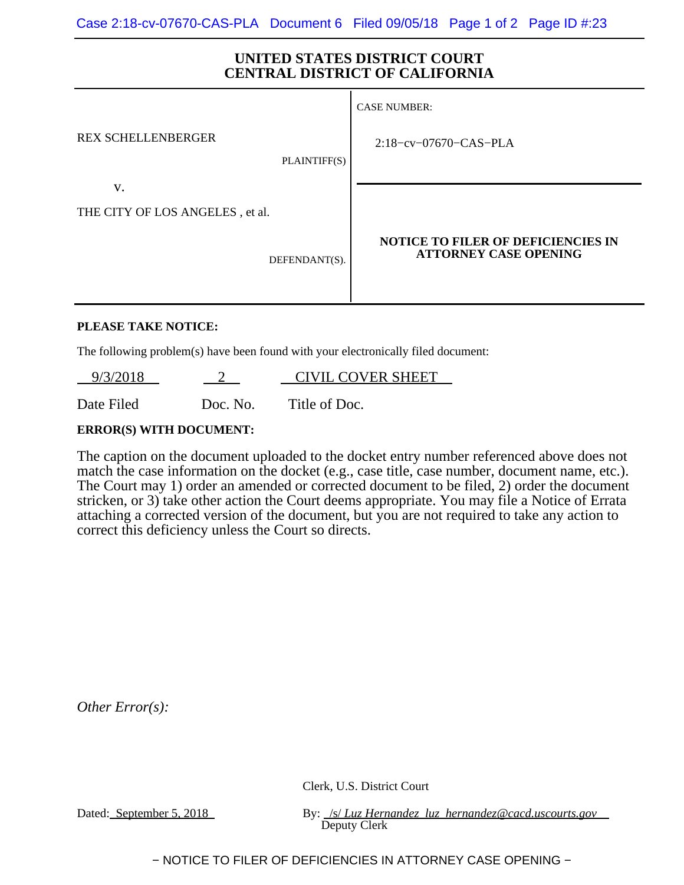## **UNITED STATES DISTRICT COURT CENTRAL DISTRICT OF CALIFORNIA**

|                                 | <b>CASE NUMBER:</b>                                                       |
|---------------------------------|---------------------------------------------------------------------------|
| <b>REX SCHELLENBERGER</b>       | $2:18$ -cv-07670-CAS-PLA                                                  |
| PLAINTIFF(S)<br>V.              |                                                                           |
| THE CITY OF LOS ANGELES, et al. |                                                                           |
| DEFENDANT(S).                   | <b>NOTICE TO FILER OF DEFICIENCIES IN</b><br><b>ATTORNEY CASE OPENING</b> |

## **PLEASE TAKE NOTICE:**

The following problem(s) have been found with your electronically filed document:

9/3/2018 2 CIVIL COVER SHEET

Date Filed Doc. No. Title of Doc.

## **ERROR(S) WITH DOCUMENT:**

The caption on the document uploaded to the docket entry number referenced above does not match the case information on the docket (e.g., case title, case number, document name, etc.). The Court may 1) order an amended or corrected document to be filed, 2) order the document stricken, or 3) take other action the Court deems appropriate. You may file a Notice of Errata attaching a corrected version of the document, but you are not required to take any action to correct this deficiency unless the Court so directs.

*Other Error(s):*

Clerk, U.S. District Court

Dated: September 5, 2018 By: /s/ *Luz Hernandez luz hernandez@cacd.uscourts.gov* Deputy Clerk

− NOTICE TO FILER OF DEFICIENCIES IN ATTORNEY CASE OPENING −